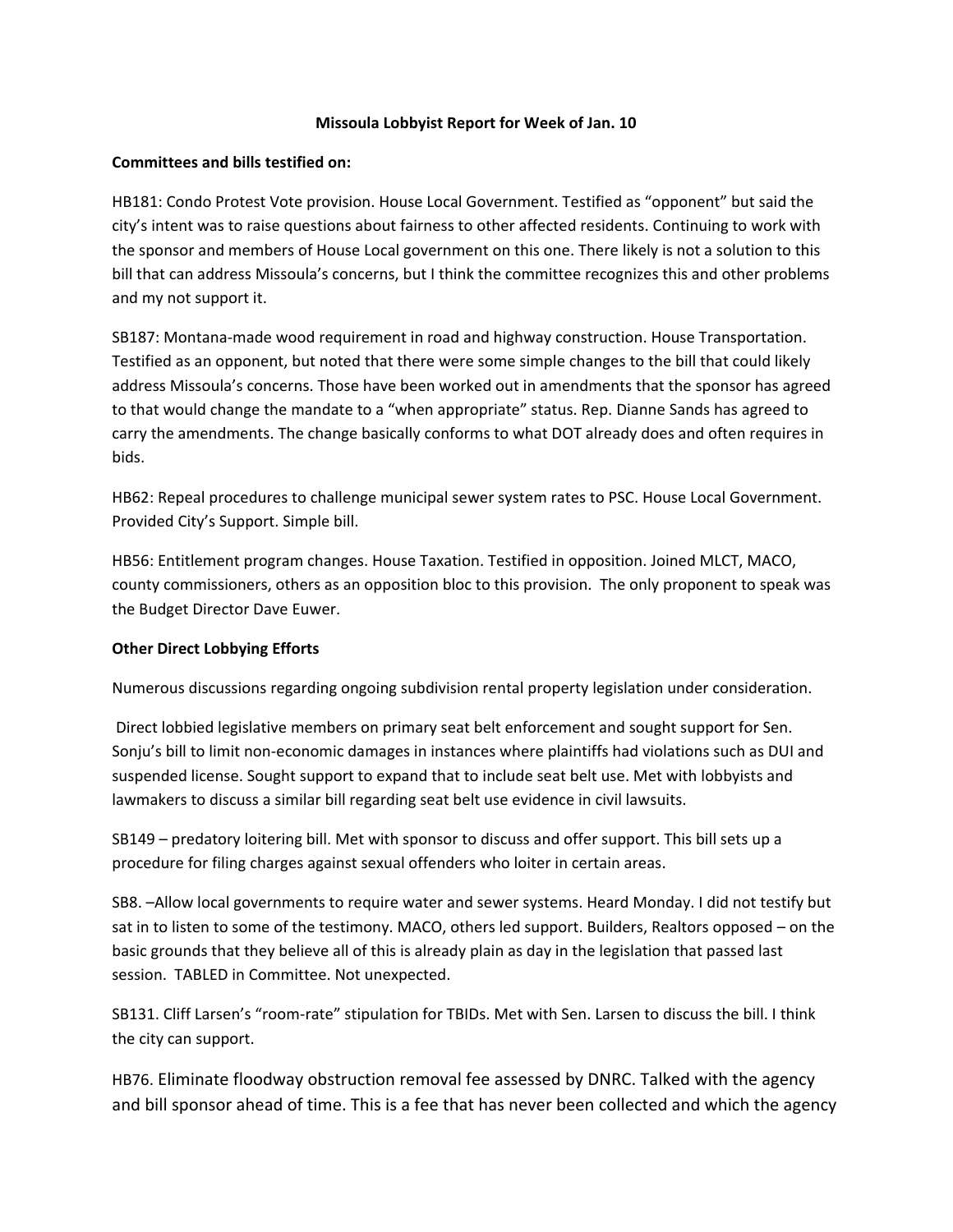## **Missoula Lobbyist Report for Week of Jan. 10**

## **Committees and bills testified on:**

HB181: Condo Protest Vote provision. House Local Government. Testified as "opponent" but said the city's intent was to raise questions about fairness to other affected residents. Continuing to work with the sponsor and members of House Local government on this one. There likely is not a solution to this bill that can address Missoula's concerns, but I think the committee recognizes this and other problems and my not support it.

SB187: Montana-made wood requirement in road and highway construction. House Transportation. Testified as an opponent, but noted that there were some simple changes to the bill that could likely address Missoula's concerns. Those have been worked out in amendments that the sponsor has agreed to that would change the mandate to a "when appropriate" status. Rep. Dianne Sands has agreed to carry the amendments. The change basically conforms to what DOT already does and often requires in bids.

HB62: Repeal procedures to challenge municipal sewer system rates to PSC. House Local Government. Provided City's Support. Simple bill.

HB56: Entitlement program changes. House Taxation. Testified in opposition. Joined MLCT, MACO, county commissioners, others as an opposition bloc to this provision. The only proponent to speak was the Budget Director Dave Euwer.

## **Other Direct Lobbying Efforts**

Numerous discussions regarding ongoing subdivision rental property legislation under consideration.

Direct lobbied legislative members on primary seat belt enforcement and sought support for Sen. Sonju's bill to limit non-economic damages in instances where plaintiffs had violations such as DUI and suspended license. Sought support to expand that to include seat belt use. Met with lobbyists and lawmakers to discuss a similar bill regarding seat belt use evidence in civil lawsuits.

SB149 – predatory loitering bill. Met with sponsor to discuss and offer support. This bill sets up a procedure for filing charges against sexual offenders who loiter in certain areas.

SB8. –Allow local governments to require water and sewer systems. Heard Monday. I did not testify but sat in to listen to some of the testimony. MACO, others led support. Builders, Realtors opposed – on the basic grounds that they believe all of this is already plain as day in the legislation that passed last session. TABLED in Committee. Not unexpected.

SB131. Cliff Larsen's "room-rate" stipulation for TBIDs. Met with Sen. Larsen to discuss the bill. I think the city can support.

HB76. Eliminate floodway obstruction removal fee assessed by DNRC. Talked with the agency and bill sponsor ahead of time. This is a fee that has never been collected and which the agency